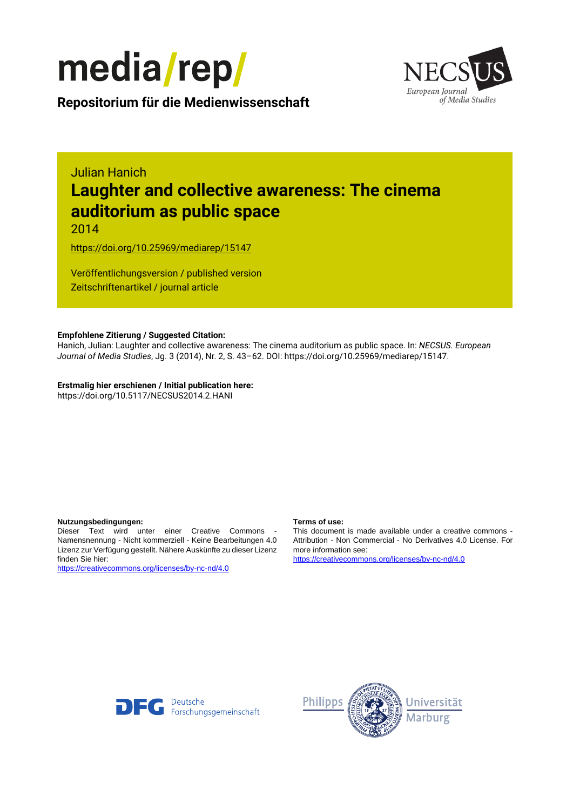



**Repositorium für die [Medienwissenschaft](https://mediarep.org)**

# Julian Hanich **Laughter and collective awareness: The cinema auditorium as public space**

2014

<https://doi.org/10.25969/mediarep/15147>

Veröffentlichungsversion / published version Zeitschriftenartikel / journal article

#### **Empfohlene Zitierung / Suggested Citation:**

Hanich, Julian: Laughter and collective awareness: The cinema auditorium as public space. In: *NECSUS. European Journal of Media Studies*, Jg. 3 (2014), Nr. 2, S. 43–62. DOI: https://doi.org/10.25969/mediarep/15147.

**Erstmalig hier erschienen / Initial publication here:** https://doi.org/10.5117/NECSUS2014.2.HANI

#### **Nutzungsbedingungen: Terms of use:**

Dieser Text wird unter einer Creative Commons - Namensnennung - Nicht kommerziell - Keine Bearbeitungen 4.0 Lizenz zur Verfügung gestellt. Nähere Auskünfte zu dieser Lizenz finden Sie hier:

<https://creativecommons.org/licenses/by-nc-nd/4.0>

This document is made available under a creative commons - Attribution - Non Commercial - No Derivatives 4.0 License. For more information see:

<https://creativecommons.org/licenses/by-nc-nd/4.0>



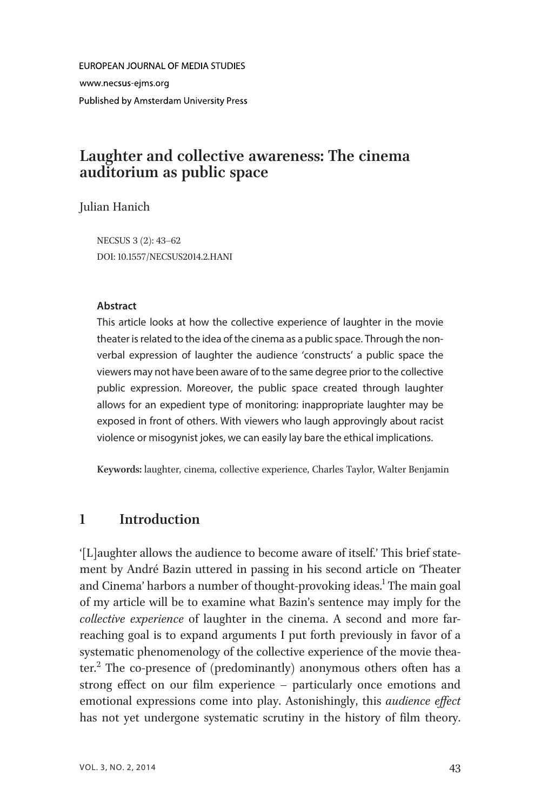**FUROPEAN JOURNAL OF MEDIA STUDIES** www.necsus-eims.org Published by Amsterdam University Press

# Laughter and collective awareness: The cinema auditorium as public space

Julian Hanich

NECSUS 3 (2): 43–62 DOI: 10.1557/NECSUS2014.2.HANI

#### Abstract

This article looks at how the collective experience of laughter in the movie theater is related to the idea of the cinema as a public space. Through the nonverbal expression of laughter the audience 'constructs' a public space the viewers may not have been aware of to the same degree prior to the collective public expression. Moreover, the public space created through laughter allows for an expedient type of monitoring: inappropriate laughter may be exposed in front of others. With viewers who laugh approvingly about racist violence or misogynist jokes, we can easily lay bare the ethical implications.

Keywords: laughter, cinema, collective experience, Charles Taylor, Walter Benjamin

#### 1 Introduction

'[L]aughter allows the audience to become aware of itself.' This brief statement by André Bazin uttered in passing in his second article on 'Theater and Cinema' harbors a number of thought-provoking ideas.<sup>1</sup> The main goal of my article will be to examine what Bazin's sentence may imply for the collective experience of laughter in the cinema. A second and more farreaching goal is to expand arguments I put forth previously in favor of a systematic phenomenology of the collective experience of the movie theater.<sup>2</sup> The co-presence of (predominantly) anonymous others often has a strong effect on our film experience – particularly once emotions and emotional expressions come into play. Astonishingly, this audience effect has not yet undergone systematic scrutiny in the history of film theory.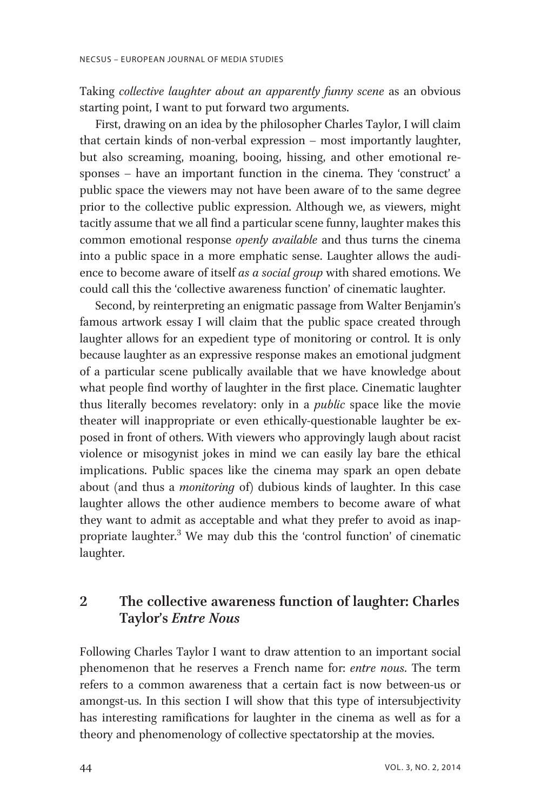Taking collective laughter about an apparently funny scene as an obvious starting point, I want to put forward two arguments.

First, drawing on an idea by the philosopher Charles Taylor, I will claim that certain kinds of non-verbal expression – most importantly laughter, but also screaming, moaning, booing, hissing, and other emotional responses – have an important function in the cinema. They 'construct' a public space the viewers may not have been aware of to the same degree prior to the collective public expression. Although we, as viewers, might tacitly assume that we all find a particular scene funny, laughter makes this common emotional response *openly available* and thus turns the cinema into a public space in a more emphatic sense. Laughter allows the audience to become aware of itself as a social group with shared emotions. We could call this the 'collective awareness function' of cinematic laughter.

Second, by reinterpreting an enigmatic passage from Walter Benjamin's famous artwork essay I will claim that the public space created through laughter allows for an expedient type of monitoring or control. It is only because laughter as an expressive response makes an emotional judgment of a particular scene publically available that we have knowledge about what people find worthy of laughter in the first place. Cinematic laughter thus literally becomes revelatory: only in a public space like the movie theater will inappropriate or even ethically-questionable laughter be exposed in front of others. With viewers who approvingly laugh about racist violence or misogynist jokes in mind we can easily lay bare the ethical implications. Public spaces like the cinema may spark an open debate about (and thus a monitoring of) dubious kinds of laughter. In this case laughter allows the other audience members to become aware of what they want to admit as acceptable and what they prefer to avoid as inappropriate laughter.<sup>3</sup> We may dub this the 'control function' of cinematic laughter.

## 2 The collective awareness function of laughter: Charles Taylor's Entre Nous

Following Charles Taylor I want to draw attention to an important social phenomenon that he reserves a French name for: entre nous. The term refers to a common awareness that a certain fact is now between-us or amongst-us. In this section I will show that this type of intersubjectivity has interesting ramifications for laughter in the cinema as well as for a theory and phenomenology of collective spectatorship at the movies.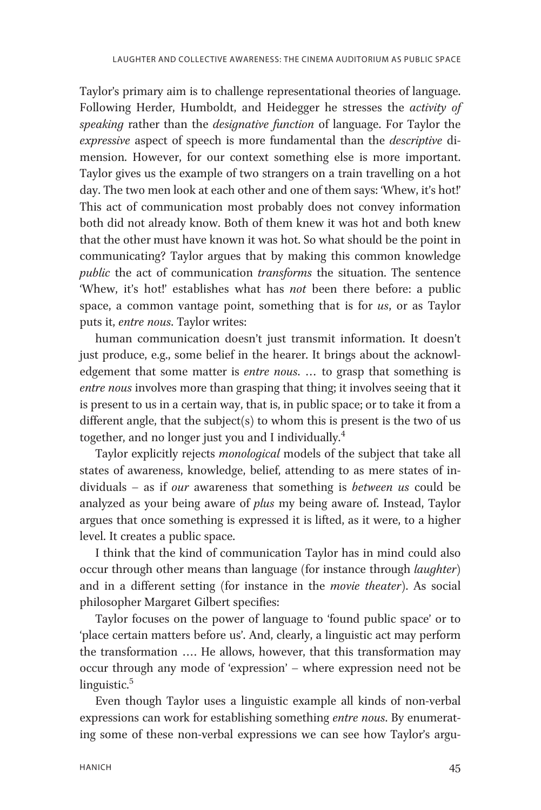Taylor's primary aim is to challenge representational theories of language. Following Herder, Humboldt, and Heidegger he stresses the activity of speaking rather than the *designative function* of language. For Taylor the expressive aspect of speech is more fundamental than the descriptive dimension. However, for our context something else is more important. Taylor gives us the example of two strangers on a train travelling on a hot day. The two men look at each other and one of them says: 'Whew, it's hot!' This act of communication most probably does not convey information both did not already know. Both of them knew it was hot and both knew that the other must have known it was hot. So what should be the point in communicating? Taylor argues that by making this common knowledge public the act of communication transforms the situation. The sentence 'Whew, it's hot!' establishes what has *not* been there before: a public space, a common vantage point, something that is for us, or as Taylor puts it, entre nous. Taylor writes:

human communication doesn't just transmit information. It doesn't just produce, e.g., some belief in the hearer. It brings about the acknowledgement that some matter is *entre nous*. ... to grasp that something is entre nous involves more than grasping that thing; it involves seeing that it is present to us in a certain way, that is, in public space; or to take it from a different angle, that the subject(s) to whom this is present is the two of us together, and no longer just you and I individually. $4$ 

Taylor explicitly rejects monological models of the subject that take all states of awareness, knowledge, belief, attending to as mere states of individuals – as if our awareness that something is between us could be analyzed as your being aware of plus my being aware of. Instead, Taylor argues that once something is expressed it is lifted, as it were, to a higher level. It creates a public space.

I think that the kind of communication Taylor has in mind could also occur through other means than language (for instance through *laughter*) and in a different setting (for instance in the movie theater). As social philosopher Margaret Gilbert specifies:

Taylor focuses on the power of language to 'found public space' or to 'place certain matters before us'. And, clearly, a linguistic act may perform the transformation .... He allows, however, that this transformation may occur through any mode of 'expression' – where expression need not be linguistic.<sup>5</sup>

Even though Taylor uses a linguistic example all kinds of non-verbal expressions can work for establishing something entre nous. By enumerating some of these non-verbal expressions we can see how Taylor's argu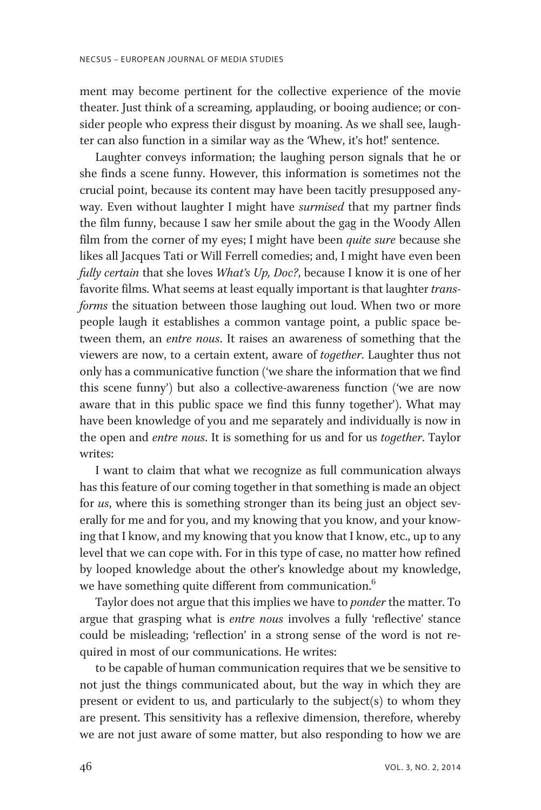ment may become pertinent for the collective experience of the movie theater. Just think of a screaming, applauding, or booing audience; or consider people who express their disgust by moaning. As we shall see, laughter can also function in a similar way as the 'Whew, it's hot!' sentence.

Laughter conveys information; the laughing person signals that he or she finds a scene funny. However, this information is sometimes not the crucial point, because its content may have been tacitly presupposed anyway. Even without laughter I might have *surmised* that my partner finds the film funny, because I saw her smile about the gag in the Woody Allen film from the corner of my eyes; I might have been *quite sure* because she likes all Jacques Tati or Will Ferrell comedies; and, I might have even been fully certain that she loves What's Up, Doc?, because I know it is one of her favorite films. What seems at least equally important is that laughter transforms the situation between those laughing out loud. When two or more people laugh it establishes a common vantage point, a public space between them, an entre nous. It raises an awareness of something that the viewers are now, to a certain extent, aware of together. Laughter thus not only has a communicative function ('we share the information that we find this scene funny') but also a collective-awareness function ('we are now aware that in this public space we find this funny together'). What may have been knowledge of you and me separately and individually is now in the open and *entre nous*. It is something for us and for us *together*. Taylor writes:

I want to claim that what we recognize as full communication always has this feature of our coming together in that something is made an object for us, where this is something stronger than its being just an object severally for me and for you, and my knowing that you know, and your knowing that I know, and my knowing that you know that I know, etc., up to any level that we can cope with. For in this type of case, no matter how refined by looped knowledge about the other's knowledge about my knowledge, we have something quite different from communication.<sup>6</sup>

Taylor does not argue that this implies we have to ponder the matter. To argue that grasping what is *entre nous* involves a fully 'reflective' stance could be misleading; 'reflection' in a strong sense of the word is not required in most of our communications. He writes:

to be capable of human communication requires that we be sensitive to not just the things communicated about, but the way in which they are present or evident to us, and particularly to the subject(s) to whom they are present. This sensitivity has a reflexive dimension, therefore, whereby we are not just aware of some matter, but also responding to how we are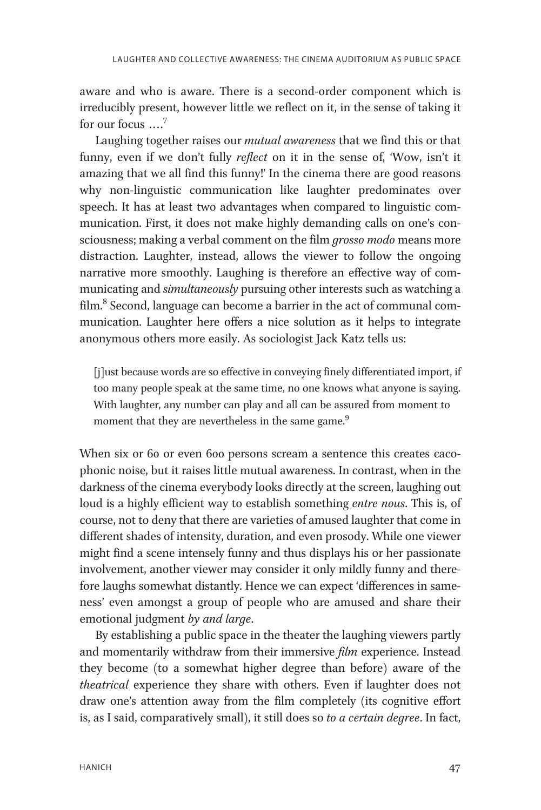aware and who is aware. There is a second-order component which is irreducibly present, however little we reflect on it, in the sense of taking it for our focus  $\ldots$ <sup>7</sup>

Laughing together raises our *mutual awareness* that we find this or that funny, even if we don't fully *reflect* on it in the sense of, 'Wow, isn't it amazing that we all find this funny!' In the cinema there are good reasons why non-linguistic communication like laughter predominates over speech. It has at least two advantages when compared to linguistic communication. First, it does not make highly demanding calls on one's consciousness; making a verbal comment on the film *grosso modo* means more distraction. Laughter, instead, allows the viewer to follow the ongoing narrative more smoothly. Laughing is therefore an effective way of communicating and simultaneously pursuing other interests such as watching a film.<sup>8</sup> Second, language can become a barrier in the act of communal communication. Laughter here offers a nice solution as it helps to integrate anonymous others more easily. As sociologist Jack Katz tells us:

[j]ust because words are so effective in conveying finely differentiated import, if too many people speak at the same time, no one knows what anyone is saying. With laughter, any number can play and all can be assured from moment to moment that they are nevertheless in the same game.<sup>9</sup>

When six or 60 or even 600 persons scream a sentence this creates cacophonic noise, but it raises little mutual awareness. In contrast, when in the darkness of the cinema everybody looks directly at the screen, laughing out loud is a highly efficient way to establish something *entre nous*. This is, of course, not to deny that there are varieties of amused laughter that come in different shades of intensity, duration, and even prosody. While one viewer might find a scene intensely funny and thus displays his or her passionate involvement, another viewer may consider it only mildly funny and therefore laughs somewhat distantly. Hence we can expect 'differences in sameness' even amongst a group of people who are amused and share their emotional judgment by and large.

By establishing a public space in the theater the laughing viewers partly and momentarily withdraw from their immersive *film* experience. Instead they become (to a somewhat higher degree than before) aware of the theatrical experience they share with others. Even if laughter does not draw one's attention away from the film completely (its cognitive effort is, as I said, comparatively small), it still does so to a certain degree. In fact,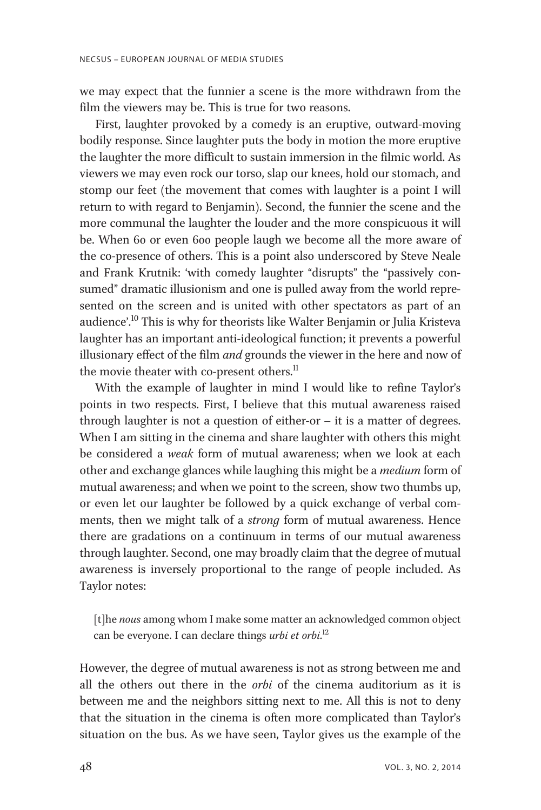we may expect that the funnier a scene is the more withdrawn from the film the viewers may be. This is true for two reasons.

First, laughter provoked by a comedy is an eruptive, outward-moving bodily response. Since laughter puts the body in motion the more eruptive the laughter the more difficult to sustain immersion in the filmic world. As viewers we may even rock our torso, slap our knees, hold our stomach, and stomp our feet (the movement that comes with laughter is a point I will return to with regard to Benjamin). Second, the funnier the scene and the more communal the laughter the louder and the more conspicuous it will be. When 60 or even 600 people laugh we become all the more aware of the co-presence of others. This is a point also underscored by Steve Neale and Frank Krutnik: 'with comedy laughter "disrupts" the "passively consumed" dramatic illusionism and one is pulled away from the world represented on the screen and is united with other spectators as part of an audience'. <sup>10</sup> This is why for theorists like Walter Benjamin or Julia Kristeva laughter has an important anti-ideological function; it prevents a powerful illusionary effect of the film *and* grounds the viewer in the here and now of the movie theater with co-present others.<sup>11</sup>

With the example of laughter in mind I would like to refine Taylor's points in two respects. First, I believe that this mutual awareness raised through laughter is not a question of either-or – it is a matter of degrees. When I am sitting in the cinema and share laughter with others this might be considered a *weak* form of mutual awareness; when we look at each other and exchange glances while laughing this might be a medium form of mutual awareness; and when we point to the screen, show two thumbs up, or even let our laughter be followed by a quick exchange of verbal comments, then we might talk of a strong form of mutual awareness. Hence there are gradations on a continuum in terms of our mutual awareness through laughter. Second, one may broadly claim that the degree of mutual awareness is inversely proportional to the range of people included. As Taylor notes:

[t]he nous among whom I make some matter an acknowledged common object can be everyone. I can declare things urbi et orbi.<sup>12</sup>

However, the degree of mutual awareness is not as strong between me and all the others out there in the orbi of the cinema auditorium as it is between me and the neighbors sitting next to me. All this is not to deny that the situation in the cinema is often more complicated than Taylor's situation on the bus. As we have seen, Taylor gives us the example of the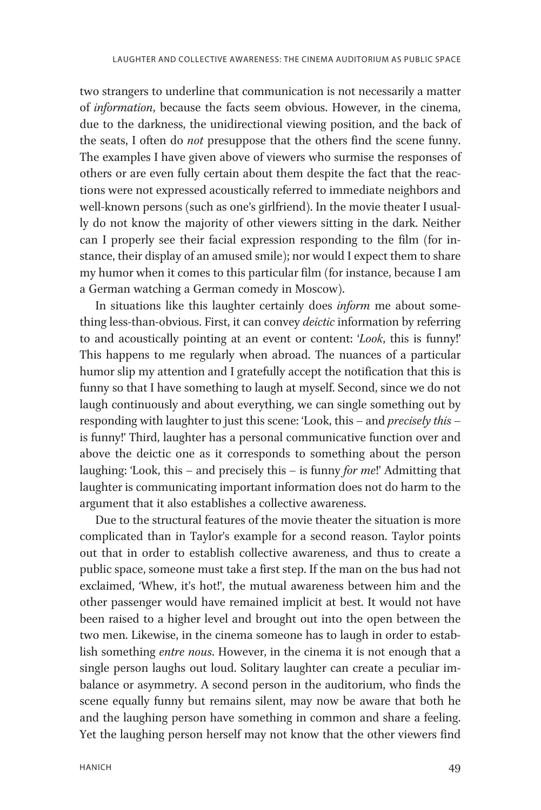two strangers to underline that communication is not necessarily a matter of information, because the facts seem obvious. However, in the cinema, due to the darkness, the unidirectional viewing position, and the back of the seats, I often do not presuppose that the others find the scene funny. The examples I have given above of viewers who surmise the responses of others or are even fully certain about them despite the fact that the reactions were not expressed acoustically referred to immediate neighbors and well-known persons (such as one's girlfriend). In the movie theater I usually do not know the majority of other viewers sitting in the dark. Neither can I properly see their facial expression responding to the film (for instance, their display of an amused smile); nor would I expect them to share my humor when it comes to this particular film (for instance, because I am a German watching a German comedy in Moscow).

In situations like this laughter certainly does *inform* me about something less-than-obvious. First, it can convey *deictic* information by referring to and acoustically pointing at an event or content: 'Look, this is funny!' This happens to me regularly when abroad. The nuances of a particular humor slip my attention and I gratefully accept the notification that this is funny so that I have something to laugh at myself. Second, since we do not laugh continuously and about everything, we can single something out by responding with laughter to just this scene: 'Look, this – and precisely this – is funny!' Third, laughter has a personal communicative function over and above the deictic one as it corresponds to something about the person laughing: 'Look, this – and precisely this – is funny *for me*!' Admitting that laughter is communicating important information does not do harm to the argument that it also establishes a collective awareness.

Due to the structural features of the movie theater the situation is more complicated than in Taylor's example for a second reason. Taylor points out that in order to establish collective awareness, and thus to create a public space, someone must take a first step. If the man on the bus had not exclaimed, 'Whew, it's hot!', the mutual awareness between him and the other passenger would have remained implicit at best. It would not have been raised to a higher level and brought out into the open between the two men. Likewise, in the cinema someone has to laugh in order to establish something entre nous. However, in the cinema it is not enough that a single person laughs out loud. Solitary laughter can create a peculiar imbalance or asymmetry. A second person in the auditorium, who finds the scene equally funny but remains silent, may now be aware that both he and the laughing person have something in common and share a feeling. Yet the laughing person herself may not know that the other viewers find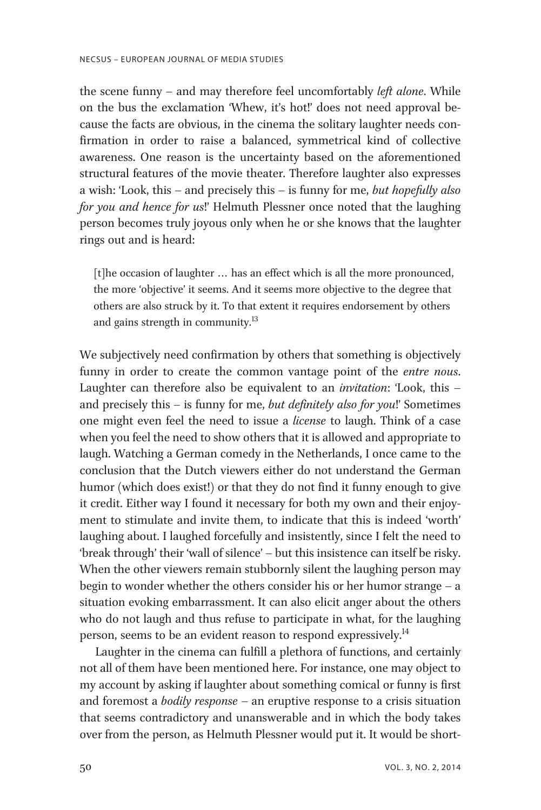the scene funny – and may therefore feel uncomfortably *left alone*. While on the bus the exclamation 'Whew, it's hot!' does not need approval because the facts are obvious, in the cinema the solitary laughter needs confirmation in order to raise a balanced, symmetrical kind of collective awareness. One reason is the uncertainty based on the aforementioned structural features of the movie theater. Therefore laughter also expresses a wish: 'Look, this – and precisely this – is funny for me, but hopefully also for you and hence for us!' Helmuth Plessner once noted that the laughing person becomes truly joyous only when he or she knows that the laughter rings out and is heard:

[t]he occasion of laughter ... has an effect which is all the more pronounced, the more 'objective' it seems. And it seems more objective to the degree that others are also struck by it. To that extent it requires endorsement by others and gains strength in community.<sup>13</sup>

We subjectively need confirmation by others that something is objectively funny in order to create the common vantage point of the *entre nous*. Laughter can therefore also be equivalent to an *invitation*: 'Look, this and precisely this – is funny for me, but definitely also for you!' Sometimes one might even feel the need to issue a license to laugh. Think of a case when you feel the need to show others that it is allowed and appropriate to laugh. Watching a German comedy in the Netherlands, I once came to the conclusion that the Dutch viewers either do not understand the German humor (which does exist!) or that they do not find it funny enough to give it credit. Either way I found it necessary for both my own and their enjoyment to stimulate and invite them, to indicate that this is indeed 'worth' laughing about. I laughed forcefully and insistently, since I felt the need to 'break through' their 'wall of silence' – but this insistence can itself be risky. When the other viewers remain stubbornly silent the laughing person may begin to wonder whether the others consider his or her humor strange – a situation evoking embarrassment. It can also elicit anger about the others who do not laugh and thus refuse to participate in what, for the laughing person, seems to be an evident reason to respond expressively.<sup>14</sup>

Laughter in the cinema can fulfill a plethora of functions, and certainly not all of them have been mentioned here. For instance, one may object to my account by asking if laughter about something comical or funny is first and foremost a bodily response – an eruptive response to a crisis situation that seems contradictory and unanswerable and in which the body takes over from the person, as Helmuth Plessner would put it. It would be short-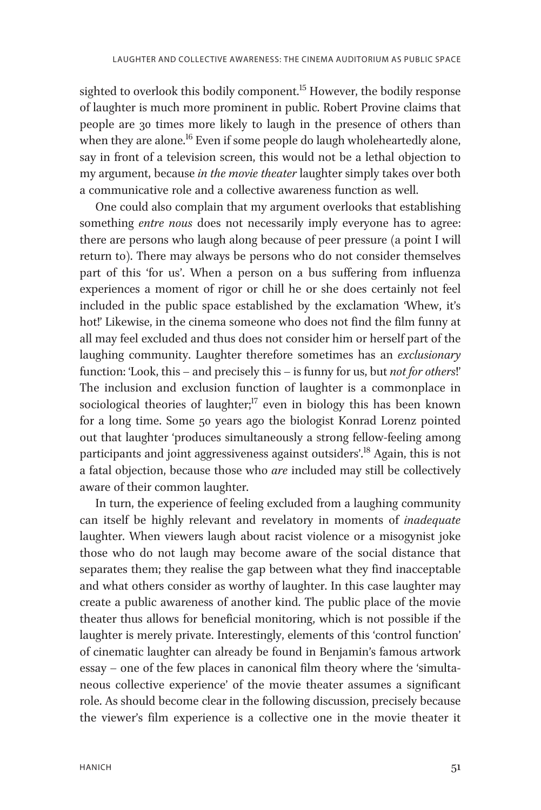sighted to overlook this bodily component.<sup>15</sup> However, the bodily response of laughter is much more prominent in public. Robert Provine claims that people are 30 times more likely to laugh in the presence of others than when they are alone.<sup>16</sup> Even if some people do laugh wholeheartedly alone, say in front of a television screen, this would not be a lethal objection to my argument, because in the movie theater laughter simply takes over both a communicative role and a collective awareness function as well.

One could also complain that my argument overlooks that establishing something *entre nous* does not necessarily imply everyone has to agree: there are persons who laugh along because of peer pressure (a point I will return to). There may always be persons who do not consider themselves part of this 'for us'. When a person on a bus suffering from influenza experiences a moment of rigor or chill he or she does certainly not feel included in the public space established by the exclamation 'Whew, it's hot!' Likewise, in the cinema someone who does not find the film funny at all may feel excluded and thus does not consider him or herself part of the laughing community. Laughter therefore sometimes has an exclusionary function: 'Look, this – and precisely this – is funny for us, but not for others!' The inclusion and exclusion function of laughter is a commonplace in sociological theories of laughter; $17$  even in biology this has been known for a long time. Some 50 years ago the biologist Konrad Lorenz pointed out that laughter 'produces simultaneously a strong fellow-feeling among participants and joint aggressiveness against outsiders'. <sup>18</sup> Again, this is not a fatal objection, because those who are included may still be collectively aware of their common laughter.

In turn, the experience of feeling excluded from a laughing community can itself be highly relevant and revelatory in moments of inadequate laughter. When viewers laugh about racist violence or a misogynist joke those who do not laugh may become aware of the social distance that separates them; they realise the gap between what they find inacceptable and what others consider as worthy of laughter. In this case laughter may create a public awareness of another kind. The public place of the movie theater thus allows for beneficial monitoring, which is not possible if the laughter is merely private. Interestingly, elements of this 'control function' of cinematic laughter can already be found in Benjamin's famous artwork essay – one of the few places in canonical film theory where the 'simultaneous collective experience' of the movie theater assumes a significant role. As should become clear in the following discussion, precisely because the viewer's film experience is a collective one in the movie theater it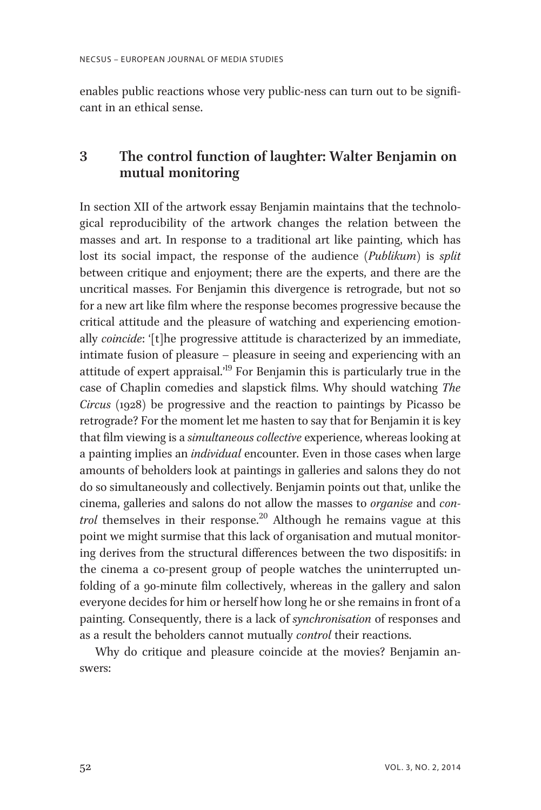enables public reactions whose very public-ness can turn out to be significant in an ethical sense.

# 3 The control function of laughter: Walter Benjamin on mutual monitoring

In section XII of the artwork essay Benjamin maintains that the technological reproducibility of the artwork changes the relation between the masses and art. In response to a traditional art like painting, which has lost its social impact, the response of the audience (Publikum) is split between critique and enjoyment; there are the experts, and there are the uncritical masses. For Benjamin this divergence is retrograde, but not so for a new art like film where the response becomes progressive because the critical attitude and the pleasure of watching and experiencing emotionally *coincide*: '[t]he progressive attitude is characterized by an immediate, intimate fusion of pleasure – pleasure in seeing and experiencing with an attitude of expert appraisal.<sup>19</sup> For Benjamin this is particularly true in the case of Chaplin comedies and slapstick films. Why should watching The Circus (1928) be progressive and the reaction to paintings by Picasso be retrograde? For the moment let me hasten to say that for Benjamin it is key that film viewing is a simultaneous collective experience, whereas looking at a painting implies an *individual* encounter. Even in those cases when large amounts of beholders look at paintings in galleries and salons they do not do so simultaneously and collectively. Benjamin points out that, unlike the cinema, galleries and salons do not allow the masses to organise and control themselves in their response.<sup>20</sup> Although he remains vague at this point we might surmise that this lack of organisation and mutual monitoring derives from the structural differences between the two dispositifs: in the cinema a co-present group of people watches the uninterrupted unfolding of a 90-minute film collectively, whereas in the gallery and salon everyone decides for him or herself how long he or she remains in front of a painting. Consequently, there is a lack of synchronisation of responses and as a result the beholders cannot mutually control their reactions.

Why do critique and pleasure coincide at the movies? Benjamin answers: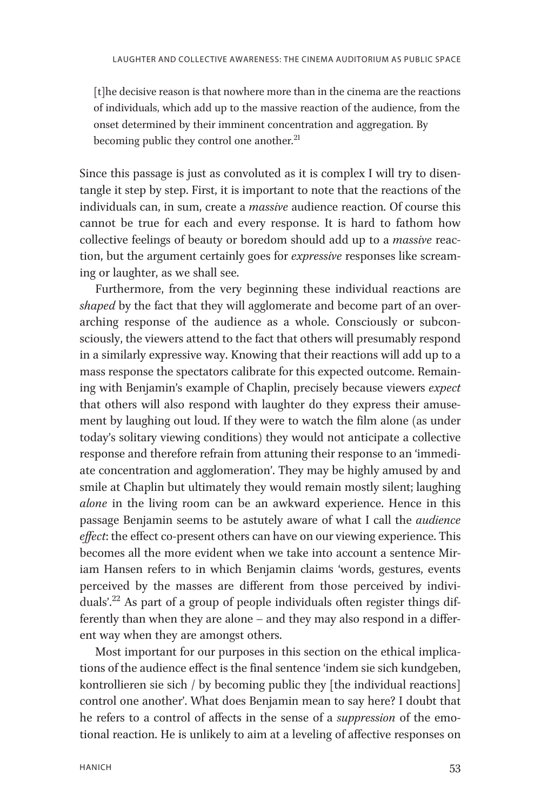[t]he decisive reason is that nowhere more than in the cinema are the reactions of individuals, which add up to the massive reaction of the audience, from the onset determined by their imminent concentration and aggregation. By becoming public they control one another.<sup>21</sup>

Since this passage is just as convoluted as it is complex I will try to disentangle it step by step. First, it is important to note that the reactions of the individuals can, in sum, create a massive audience reaction. Of course this cannot be true for each and every response. It is hard to fathom how collective feelings of beauty or boredom should add up to a massive reaction, but the argument certainly goes for *expressive* responses like screaming or laughter, as we shall see.

Furthermore, from the very beginning these individual reactions are shaped by the fact that they will agglomerate and become part of an overarching response of the audience as a whole. Consciously or subconsciously, the viewers attend to the fact that others will presumably respond in a similarly expressive way. Knowing that their reactions will add up to a mass response the spectators calibrate for this expected outcome. Remaining with Benjamin's example of Chaplin, precisely because viewers expect that others will also respond with laughter do they express their amusement by laughing out loud. If they were to watch the film alone (as under today's solitary viewing conditions) they would not anticipate a collective response and therefore refrain from attuning their response to an 'immediate concentration and agglomeration'. They may be highly amused by and smile at Chaplin but ultimately they would remain mostly silent; laughing alone in the living room can be an awkward experience. Hence in this passage Benjamin seems to be astutely aware of what I call the audience effect: the effect co-present others can have on our viewing experience. This becomes all the more evident when we take into account a sentence Miriam Hansen refers to in which Benjamin claims 'words, gestures, events perceived by the masses are different from those perceived by individuals'. <sup>22</sup> As part of a group of people individuals often register things differently than when they are alone – and they may also respond in a different way when they are amongst others.

Most important for our purposes in this section on the ethical implications of the audience effect is the final sentence 'indem sie sich kundgeben, kontrollieren sie sich / by becoming public they [the individual reactions] control one another'. What does Benjamin mean to say here? I doubt that he refers to a control of affects in the sense of a suppression of the emotional reaction. He is unlikely to aim at a leveling of affective responses on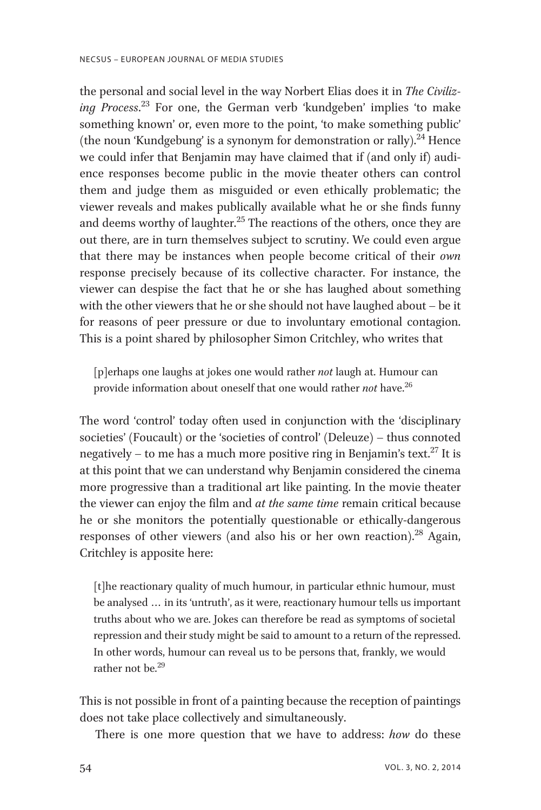the personal and social level in the way Norbert Elias does it in The Civilizing Process.<sup>23</sup> For one, the German verb 'kundgeben' implies 'to make something known' or, even more to the point, 'to make something public' (the noun 'Kundgebung' is a synonym for demonstration or rally).<sup>24</sup> Hence we could infer that Benjamin may have claimed that if (and only if) audience responses become public in the movie theater others can control them and judge them as misguided or even ethically problematic; the viewer reveals and makes publically available what he or she finds funny and deems worthy of laughter.<sup>25</sup> The reactions of the others, once they are out there, are in turn themselves subject to scrutiny. We could even argue that there may be instances when people become critical of their own response precisely because of its collective character. For instance, the viewer can despise the fact that he or she has laughed about something with the other viewers that he or she should not have laughed about – be it for reasons of peer pressure or due to involuntary emotional contagion. This is a point shared by philosopher Simon Critchley, who writes that

[p]erhaps one laughs at jokes one would rather not laugh at. Humour can provide information about oneself that one would rather not have.<sup>26</sup>

The word 'control' today often used in conjunction with the 'disciplinary societies' (Foucault) or the 'societies of control' (Deleuze) – thus connoted negatively – to me has a much more positive ring in Benjamin's text.<sup>27</sup> It is at this point that we can understand why Benjamin considered the cinema more progressive than a traditional art like painting. In the movie theater the viewer can enjoy the film and at the same time remain critical because he or she monitors the potentially questionable or ethically-dangerous responses of other viewers (and also his or her own reaction).<sup>28</sup> Again, Critchley is apposite here:

[t]he reactionary quality of much humour, in particular ethnic humour, must be analysed ... in its 'untruth', as it were, reactionary humour tells us important truths about who we are. Jokes can therefore be read as symptoms of societal repression and their study might be said to amount to a return of the repressed. In other words, humour can reveal us to be persons that, frankly, we would rather not be  $^{29}$ 

This is not possible in front of a painting because the reception of paintings does not take place collectively and simultaneously.

There is one more question that we have to address: how do these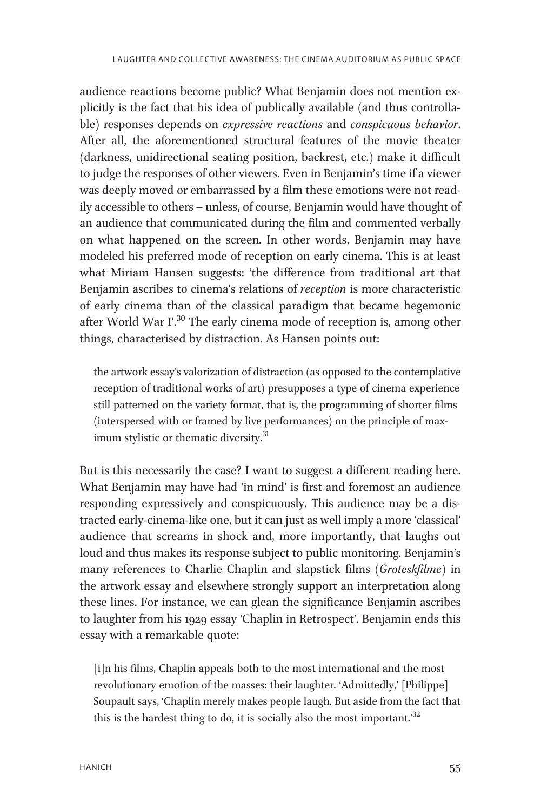audience reactions become public? What Benjamin does not mention explicitly is the fact that his idea of publically available (and thus controllable) responses depends on expressive reactions and conspicuous behavior. After all, the aforementioned structural features of the movie theater (darkness, unidirectional seating position, backrest, etc.) make it difficult to judge the responses of other viewers. Even in Benjamin's time if a viewer was deeply moved or embarrassed by a film these emotions were not readily accessible to others – unless, of course, Benjamin would have thought of an audience that communicated during the film and commented verbally on what happened on the screen. In other words, Benjamin may have modeled his preferred mode of reception on early cinema. This is at least what Miriam Hansen suggests: 'the difference from traditional art that Benjamin ascribes to cinema's relations of reception is more characteristic of early cinema than of the classical paradigm that became hegemonic after World War I'.<sup>30</sup> The early cinema mode of reception is, among other things, characterised by distraction. As Hansen points out:

the artwork essay's valorization of distraction (as opposed to the contemplative reception of traditional works of art) presupposes a type of cinema experience still patterned on the variety format, that is, the programming of shorter films (interspersed with or framed by live performances) on the principle of maximum stylistic or thematic diversity.<sup>31</sup>

But is this necessarily the case? I want to suggest a different reading here. What Benjamin may have had 'in mind' is first and foremost an audience responding expressively and conspicuously. This audience may be a distracted early-cinema-like one, but it can just as well imply a more 'classical' audience that screams in shock and, more importantly, that laughs out loud and thus makes its response subject to public monitoring. Benjamin's many references to Charlie Chaplin and slapstick films (Groteskfilme) in the artwork essay and elsewhere strongly support an interpretation along these lines. For instance, we can glean the significance Benjamin ascribes to laughter from his 1929 essay 'Chaplin in Retrospect'. Benjamin ends this essay with a remarkable quote:

[i]n his films, Chaplin appeals both to the most international and the most revolutionary emotion of the masses: their laughter. 'Admittedly,' [Philippe] Soupault says, 'Chaplin merely makes people laugh. But aside from the fact that this is the hardest thing to do, it is socially also the most important.<sup>32</sup>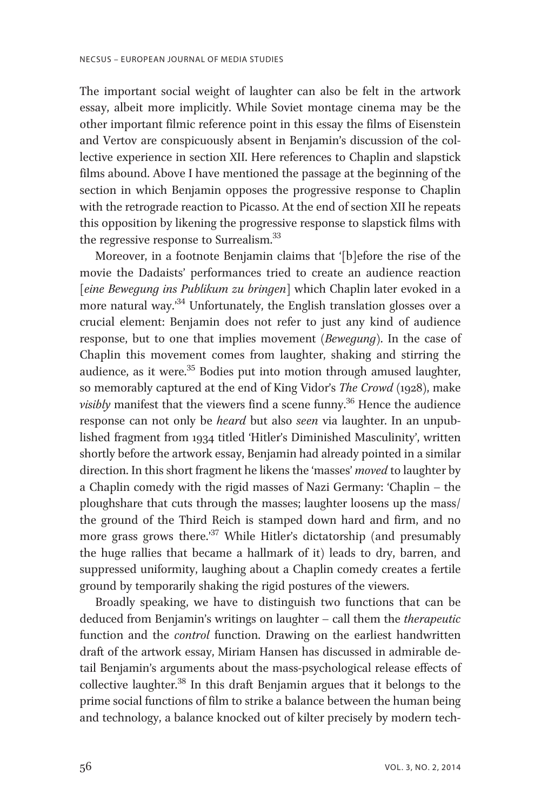The important social weight of laughter can also be felt in the artwork essay, albeit more implicitly. While Soviet montage cinema may be the other important filmic reference point in this essay the films of Eisenstein and Vertov are conspicuously absent in Benjamin's discussion of the collective experience in section XII. Here references to Chaplin and slapstick films abound. Above I have mentioned the passage at the beginning of the section in which Benjamin opposes the progressive response to Chaplin with the retrograde reaction to Picasso. At the end of section XII he repeats this opposition by likening the progressive response to slapstick films with the regressive response to Surrealism.<sup>33</sup>

Moreover, in a footnote Benjamin claims that '[b]efore the rise of the movie the Dadaists' performances tried to create an audience reaction [eine Bewegung ins Publikum zu bringen] which Chaplin later evoked in a more natural way.' <sup>34</sup> Unfortunately, the English translation glosses over a crucial element: Benjamin does not refer to just any kind of audience response, but to one that implies movement (Bewegung). In the case of Chaplin this movement comes from laughter, shaking and stirring the audience, as it were.<sup>35</sup> Bodies put into motion through amused laughter, so memorably captured at the end of King Vidor's The Crowd (1928), make *visibly* manifest that the viewers find a scene funny.<sup>36</sup> Hence the audience response can not only be *heard* but also seen via laughter. In an unpublished fragment from 1934 titled 'Hitler's Diminished Masculinity', written shortly before the artwork essay, Benjamin had already pointed in a similar direction. In this short fragment he likens the 'masses' moved to laughter by a Chaplin comedy with the rigid masses of Nazi Germany: 'Chaplin – the ploughshare that cuts through the masses; laughter loosens up the mass/ the ground of the Third Reich is stamped down hard and firm, and no more grass grows there.' <sup>37</sup> While Hitler's dictatorship (and presumably the huge rallies that became a hallmark of it) leads to dry, barren, and suppressed uniformity, laughing about a Chaplin comedy creates a fertile ground by temporarily shaking the rigid postures of the viewers.

Broadly speaking, we have to distinguish two functions that can be deduced from Benjamin's writings on laughter – call them the therapeutic function and the control function. Drawing on the earliest handwritten draft of the artwork essay, Miriam Hansen has discussed in admirable detail Benjamin's arguments about the mass-psychological release effects of collective laughter.<sup>38</sup> In this draft Benjamin argues that it belongs to the prime social functions of film to strike a balance between the human being and technology, a balance knocked out of kilter precisely by modern tech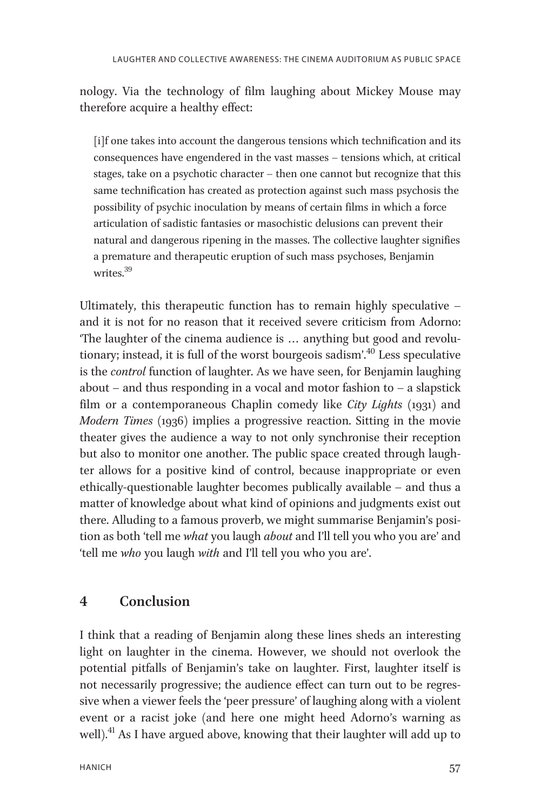nology. Via the technology of film laughing about Mickey Mouse may therefore acquire a healthy effect:

[i]f one takes into account the dangerous tensions which technification and its consequences have engendered in the vast masses – tensions which, at critical stages, take on a psychotic character – then one cannot but recognize that this same technification has created as protection against such mass psychosis the possibility of psychic inoculation by means of certain films in which a force articulation of sadistic fantasies or masochistic delusions can prevent their natural and dangerous ripening in the masses. The collective laughter signifies a premature and therapeutic eruption of such mass psychoses, Benjamin writes<sup>39</sup>

Ultimately, this therapeutic function has to remain highly speculative – and it is not for no reason that it received severe criticism from Adorno: 'The laughter of the cinema audience is ... anything but good and revolutionary; instead, it is full of the worst bourgeois sadism'. <sup>40</sup> Less speculative is the *control* function of laughter. As we have seen, for Benjamin laughing about – and thus responding in a vocal and motor fashion to – a slapstick film or a contemporaneous Chaplin comedy like City Lights (1931) and Modern Times (1936) implies a progressive reaction. Sitting in the movie theater gives the audience a way to not only synchronise their reception but also to monitor one another. The public space created through laughter allows for a positive kind of control, because inappropriate or even ethically-questionable laughter becomes publically available – and thus a matter of knowledge about what kind of opinions and judgments exist out there. Alluding to a famous proverb, we might summarise Benjamin's position as both 'tell me what you laugh about and I'll tell you who you are' and 'tell me who you laugh with and I'll tell you who you are'.

#### 4 Conclusion

I think that a reading of Benjamin along these lines sheds an interesting light on laughter in the cinema. However, we should not overlook the potential pitfalls of Benjamin's take on laughter. First, laughter itself is not necessarily progressive; the audience effect can turn out to be regressive when a viewer feels the 'peer pressure' of laughing along with a violent event or a racist joke (and here one might heed Adorno's warning as well).<sup>41</sup> As I have argued above, knowing that their laughter will add up to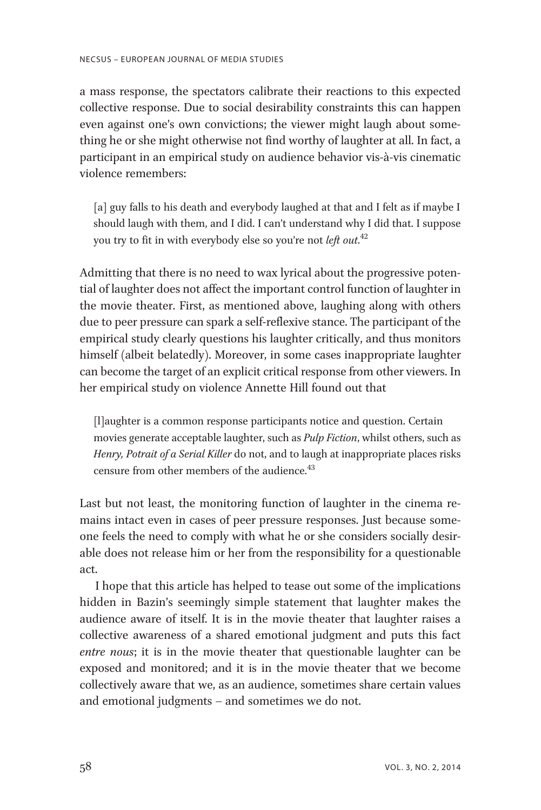a mass response, the spectators calibrate their reactions to this expected collective response. Due to social desirability constraints this can happen even against one's own convictions; the viewer might laugh about something he or she might otherwise not find worthy of laughter at all. In fact, a participant in an empirical study on audience behavior vis-à-vis cinematic violence remembers:

[a] guy falls to his death and everybody laughed at that and I felt as if maybe I should laugh with them, and I did. I can't understand why I did that. I suppose you try to fit in with everybody else so you're not *left out*.<sup>42</sup>

Admitting that there is no need to wax lyrical about the progressive potential of laughter does not affect the important control function of laughter in the movie theater. First, as mentioned above, laughing along with others due to peer pressure can spark a self-reflexive stance. The participant of the empirical study clearly questions his laughter critically, and thus monitors himself (albeit belatedly). Moreover, in some cases inappropriate laughter can become the target of an explicit critical response from other viewers. In her empirical study on violence Annette Hill found out that

[l]aughter is a common response participants notice and question. Certain movies generate acceptable laughter, such as Pulp Fiction, whilst others, such as Henry, Potrait of a Serial Killer do not, and to laugh at inappropriate places risks censure from other members of the audience.<sup>43</sup>

Last but not least, the monitoring function of laughter in the cinema remains intact even in cases of peer pressure responses. Just because someone feels the need to comply with what he or she considers socially desirable does not release him or her from the responsibility for a questionable act.

I hope that this article has helped to tease out some of the implications hidden in Bazin's seemingly simple statement that laughter makes the audience aware of itself. It is in the movie theater that laughter raises a collective awareness of a shared emotional judgment and puts this fact entre nous; it is in the movie theater that questionable laughter can be exposed and monitored; and it is in the movie theater that we become collectively aware that we, as an audience, sometimes share certain values and emotional judgments – and sometimes we do not.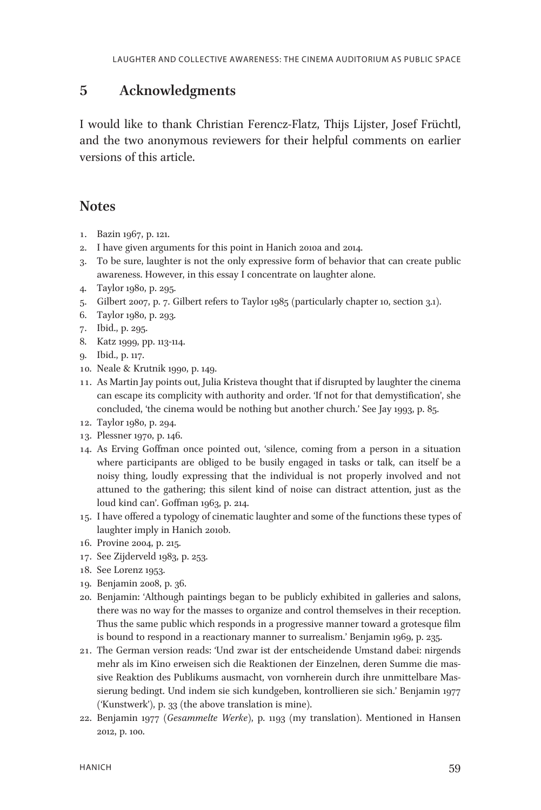## 5 Acknowledgments

I would like to thank Christian Ferencz-Flatz, Thijs Lijster, Josef Früchtl, and the two anonymous reviewers for their helpful comments on earlier versions of this article.

#### **Notes**

- 1. Bazin 1967, p. 121.
- 2. I have given arguments for this point in Hanich 2010a and 2014.
- 3. To be sure, laughter is not the only expressive form of behavior that can create public awareness. However, in this essay I concentrate on laughter alone.
- 4. Taylor 1980, p. 295.
- 5. Gilbert 2007, p. 7. Gilbert refers to Taylor 1985 (particularly chapter 10, section 3.1).
- 6. Taylor 1980, p. 293.
- 7. Ibid., p. 295.
- 8. Katz 1999, pp. 113-114.
- 9. Ibid., p. 117.
- 10. Neale & Krutnik 1990, p. 149.
- 1 1. As Martin Jay points out, Julia Kristeva thought that if disrupted by laughter the cinema can escape its complicity with authority and order. 'If not for that demystification', she concluded, 'the cinema would be nothing but another church.' See Jay 1993, p. 85.
- 12. Taylor 1980, p. 294.
- 13. Plessner 1970, p. 146.
- 14. As Erving Goffman once pointed out, 'silence, coming from a person in a situation where participants are obliged to be busily engaged in tasks or talk, can itself be a noisy thing, loudly expressing that the individual is not properly involved and not attuned to the gathering; this silent kind of noise can distract attention, just as the loud kind can'. Goffman 1963, p. 214.
- 15. I have offered a typology of cinematic laughter and some of the functions these types of laughter imply in Hanich 2010b.
- 16. Provine 2004, p. 215.
- 17. See Zijderveld 1983, p. 253.
- 18. See Lorenz 1953.
- 19. Benjamin 2008, p. 36.
- 20. Benjamin: 'Although paintings began to be publicly exhibited in galleries and salons, there was no way for the masses to organize and control themselves in their reception. Thus the same public which responds in a progressive manner toward a grotesque film is bound to respond in a reactionary manner to surrealism.' Benjamin 1969, p. 235.
- 21. The German version reads: 'Und zwar ist der entscheidende Umstand dabei: nirgends mehr als im Kino erweisen sich die Reaktionen der Einzelnen, deren Summe die massive Reaktion des Publikums ausmacht, von vornherein durch ihre unmittelbare Massierung bedingt. Und indem sie sich kundgeben, kontrollieren sie sich.' Benjamin 1977 ('Kunstwerk'), p. 33 (the above translation is mine).
- 22. Benjamin 1977 (Gesammelte Werke), p. 1193 (my translation). Mentioned in Hansen 2012, p. 100.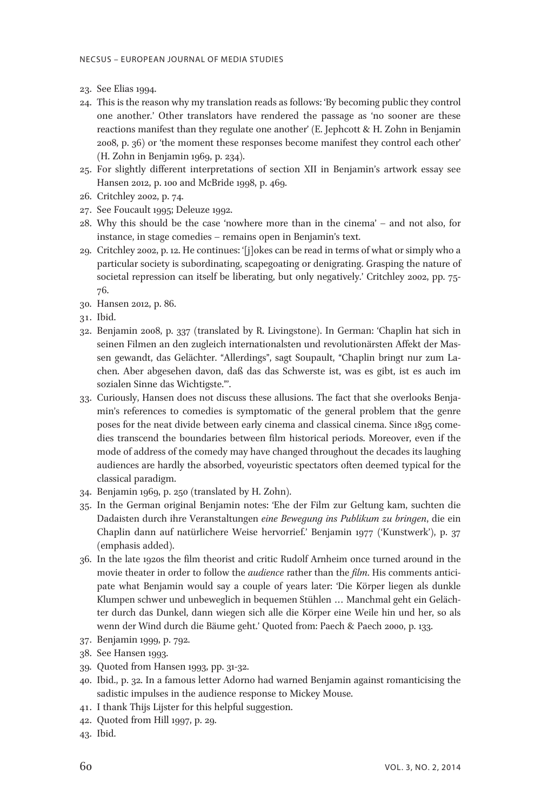- 23. See Elias 1994.
- 24. This is the reason why my translation reads as follows: 'By becoming public they control one another.' Other translators have rendered the passage as 'no sooner are these reactions manifest than they regulate one another' (E. Jephcott & H. Zohn in Benjamin 2008, p. 36) or 'the moment these responses become manifest they control each other' (H. Zohn in Benjamin 1969, p. 234).
- 25. For slightly different interpretations of section XII in Benjamin's artwork essay see Hansen 2012, p. 100 and McBride 1998, p. 469.
- 26. Critchley 2002, p. 74.
- 27. See Foucault 1995; Deleuze 1992.
- 28. Why this should be the case 'nowhere more than in the cinema' and not also, for instance, in stage comedies – remains open in Benjamin's text.
- 29. Critchley 2002, p. 12. He continues: '[j]okes can be read in terms of what or simply who a particular society is subordinating, scapegoating or denigrating. Grasping the nature of societal repression can itself be liberating, but only negatively.' Critchley 2002, pp. 75- 76.
- 30. Hansen 2012, p. 86.
- 31. Ibid.
- 32. Benjamin 2008, p. 337 (translated by R. Livingstone). In German: 'Chaplin hat sich in seinen Filmen an den zugleich internationalsten und revolutionärsten Affekt der Massen gewandt, das Gelächter. "Allerdings", sagt Soupault, "Chaplin bringt nur zum Lachen. Aber abgesehen davon, daß das das Schwerste ist, was es gibt, ist es auch im sozialen Sinne das Wichtigste."'.
- 33. Curiously, Hansen does not discuss these allusions. The fact that she overlooks Benjamin's references to comedies is symptomatic of the general problem that the genre poses for the neat divide between early cinema and classical cinema. Since 1895 comedies transcend the boundaries between film historical periods. Moreover, even if the mode of address of the comedy may have changed throughout the decades its laughing audiences are hardly the absorbed, voyeuristic spectators often deemed typical for the classical paradigm.
- 34. Benjamin 1969, p. 250 (translated by H. Zohn).
- 35. In the German original Benjamin notes: 'Ehe der Film zur Geltung kam, suchten die Dadaisten durch ihre Veranstaltungen eine Bewegung ins Publikum zu bringen, die ein Chaplin dann auf natürlichere Weise hervorrief.' Benjamin 1977 ('Kunstwerk'), p. 37 (emphasis added).
- 36. In the late 1920s the film theorist and critic Rudolf Arnheim once turned around in the movie theater in order to follow the *audience* rather than the *film*. His comments anticipate what Benjamin would say a couple of years later: 'Die Körper liegen als dunkle Klumpen schwer und unbeweglich in bequemen Stühlen ... Manchmal geht ein Gelächter durch das Dunkel, dann wiegen sich alle die Körper eine Weile hin und her, so als wenn der Wind durch die Bäume geht.' Quoted from: Paech & Paech 2000, p. 133.
- 37. Benjamin 1999, p. 792.
- 38. See Hansen 1993.
- 39. Quoted from Hansen 1993, pp. 31-32.
- 40. Ibid., p. 32. In a famous letter Adorno had warned Benjamin against romanticising the sadistic impulses in the audience response to Mickey Mouse.
- 41. I thank Thijs Lijster for this helpful suggestion.
- 42. Quoted from Hill 1997, p. 29.
- 43. Ibid.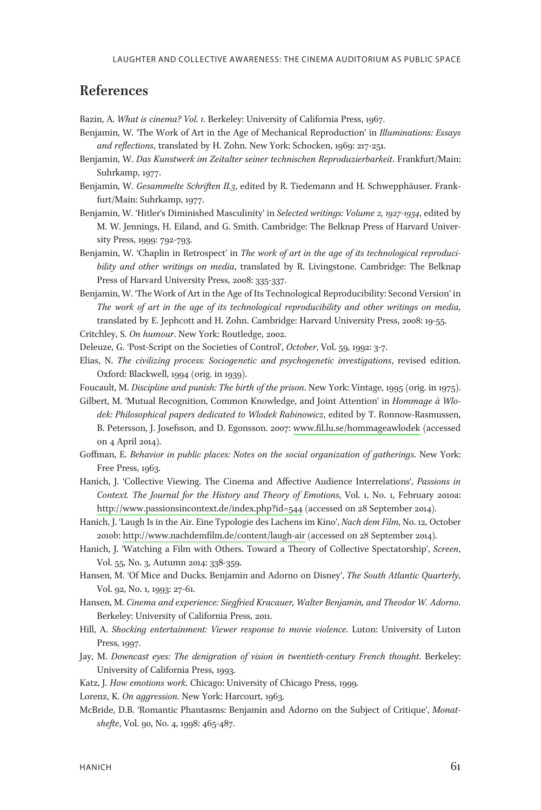#### References

Bazin, A. What is cinema? Vol. 1. Berkeley: University of California Press, 1967.

- Benjamin, W. 'The Work of Art in the Age of Mechanical Reproduction' in Illuminations: Essays and reflections, translated by H. Zohn. New York: Schocken, 1969: 217-251.
- Benjamin, W. Das Kunstwerk im Zeitalter seiner technischen Reproduzierbarkeit. Frankfurt/Main: Suhrkamp, 1977.
- Benjamin, W. Gesammelte Schriften II.3, edited by R. Tiedemann and H. Schwepphäuser. Frankfurt/Main: Suhrkamp, 1977.
- Benjamin, W. 'Hitler's Diminished Masculinity' in Selected writings: Volume 2, 1927-1934, edited by M. W. Jennings, H. Eiland, and G. Smith. Cambridge: The Belknap Press of Harvard University Press, 1999: 792-793.
- Benjamin, W. 'Chaplin in Retrospect' in The work of art in the age of its technological reproducibility and other writings on media, translated by R. Livingstone. Cambridge: The Belknap Press of Harvard University Press, 2008: 335-337.
- Benjamin, W. 'The Work of Art in the Age of Its Technological Reproducibility: Second Version' in The work of art in the age of its technological reproducibility and other writings on media, translated by E. Jephcott and H. Zohn. Cambridge: Harvard University Press, 2008: 19-55.

Critchley, S. On humour. New York: Routledge, 2002.

Deleuze, G. 'Post-Script on the Societies of Control', October, Vol. 59, 1992: 3-7.

- Elias, N. The civilizing process: Sociogenetic and psychogenetic investigations, revised edition. Oxford: Blackwell, 1994 (orig. in 1939).
- Foucault, M. Discipline and punish: The birth of the prison. New York: Vintage, 1995 (orig. in 1975).
- Gilbert, M. 'Mutual Recognition, Common Knowledge, and Joint Attention' in Hommage à Wlodek: Philosophical papers dedicated to Wlodek Rabinowicz, edited by T. Ronnow-Rasmussen, B. Petersson, J. Josefsson, and D. Egonsson. 2007: [www.fil.lu.se/hommageawlodek](http://www.fil.lu.se/hommageawlodek) (accessed on 4 April 2014).
- Goffman, E. Behavior in public places: Notes on the social organization of gatherings. New York: Free Press, 1963.
- Hanich, J. 'Collective Viewing. The Cinema and Affective Audience Interrelations', Passions in Context. The Journal for the History and Theory of Emotions, Vol. 1, No. 1, February 2010a: <http://www.passionsincontext.de/index.php?id=544> (accessed on 28 September 2014).
- Hanich, J. 'Laugh Is in the Air. Eine Typologie des Lachens im Kino', Nach dem Film, No. 12, October 2010b:<http://www.nachdemfilm.de/content/laugh-air> (accessed on 28 September 2014).
- Hanich, J. 'Watching a Film with Others. Toward a Theory of Collective Spectatorship', Screen, Vol. 55, No. 3, Autumn 2014: 338-359.
- Hansen, M. 'Of Mice and Ducks. Benjamin and Adorno on Disney', The South Atlantic Quarterly, Vol. 92, No. 1, 1993: 27-61.
- Hansen, M. Cinema and experience: Siegfried Kracauer, Walter Benjamin, and Theodor W. Adorno. Berkeley: University of California Press, 2011.
- Hill, A. Shocking entertainment: Viewer response to movie violence. Luton: University of Luton Press, 1997.
- Jay, M. Downcast eyes: The denigration of vision in twentieth-century French thought. Berkeley: University of California Press, 1993.
- Katz, J. How emotions work. Chicago: University of Chicago Press, 1999.
- Lorenz, K. On aggression. New York: Harcourt, 1963.
- McBride, D.B. 'Romantic Phantasms: Benjamin and Adorno on the Subject of Critique', Monatshefte, Vol. 90, No. 4, 1998: 465-487.